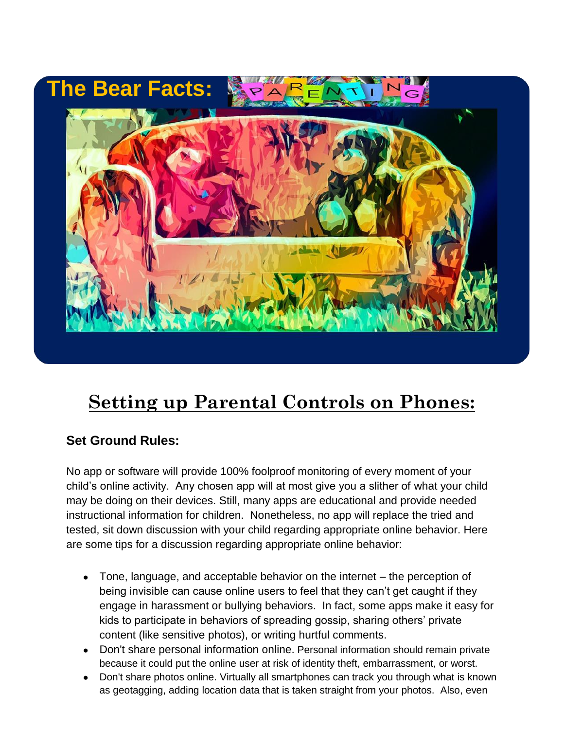

# **Setting up Parental Controls on Phones:**

# **Set Ground Rules:**

No app or software will provide 100% foolproof monitoring of every moment of your child's online activity. Any chosen app will at most give you a slither of what your child may be doing on their devices. Still, many apps are educational and provide needed instructional information for children. Nonetheless, no app will replace the tried and tested, sit down discussion with your child regarding appropriate online behavior. Here are some tips for a discussion regarding appropriate online behavior:

- Tone, language, and acceptable behavior on the internet  $-$  the perception of being invisible can cause online users to feel that they can't get caught if they engage in harassment or bullying behaviors. In fact, some apps make it easy for kids to participate in behaviors of spreading gossip, sharing others' private content (like sensitive photos), or writing hurtful comments.
- Don't share personal information online. Personal information should remain private because it could put the online user at risk of identity theft, embarrassment, or worst.
- Don't share photos online. Virtually all smartphones can track you through what is known as geotagging, adding location data that is taken straight from your photos. Also, even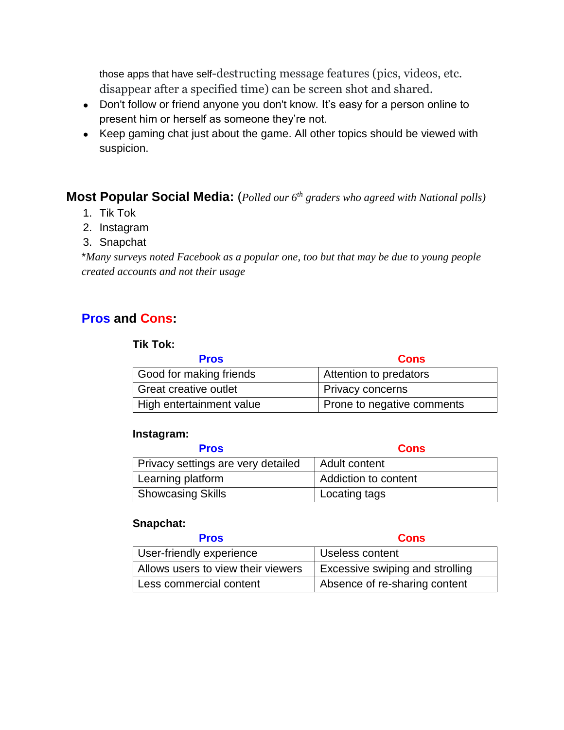those apps that have self-destructing message features (pics, videos, etc. disappear after a specified time) can be screen shot and shared.

- Don't follow or friend anyone you don't know. It's easy for a person online to present him or herself as someone they're not.
- Keep gaming chat just about the game. All other topics should be viewed with suspicion.

#### **Most Popular Social Media:** (*Polled our 6th graders who agreed with National polls)*

- 1. Tik Tok
- 2. Instagram
- 3. Snapchat

\**Many surveys noted Facebook as a popular one, too but that may be due to young people created accounts and not their usage*

## **Pros and Cons:**

#### **Tik Tok:**

| <b>Pros</b>                  | <b>Cons</b>                |
|------------------------------|----------------------------|
| Good for making friends      | Attention to predators     |
| <b>Great creative outlet</b> | Privacy concerns           |
| High entertainment value     | Prone to negative comments |

#### **Instagram:**

| <b>Pros</b>                        | <b>Cons</b>          |
|------------------------------------|----------------------|
| Privacy settings are very detailed | Adult content        |
| Learning platform                  | Addiction to content |
| <b>Showcasing Skills</b>           | Locating tags        |

#### **Snapchat:**

| <b>Pros</b>                        | <b>Cons</b>                     |
|------------------------------------|---------------------------------|
| User-friendly experience           | Useless content                 |
| Allows users to view their viewers | Excessive swiping and strolling |
| Less commercial content            | Absence of re-sharing content   |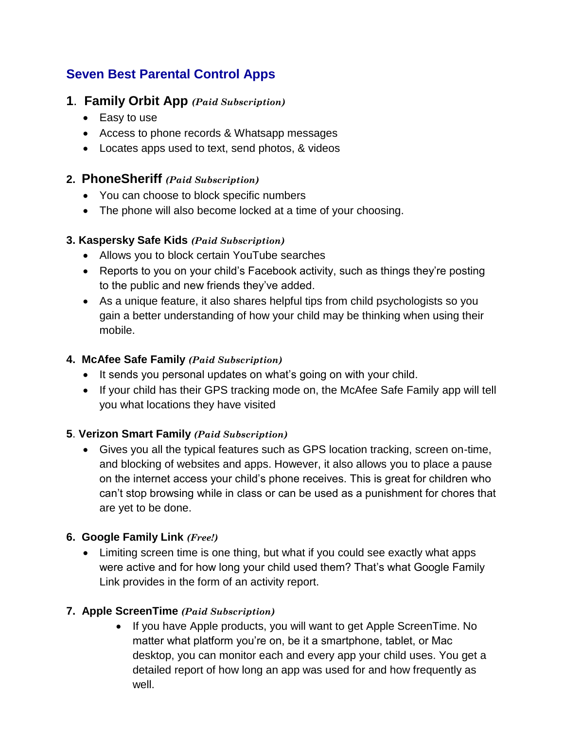# **Seven Best Parental Control Apps**

## **1**. **Family Orbit App** *(Paid Subscription)*

- Easy to use
- Access to phone records & Whatsapp messages
- Locates apps used to text, send photos, & videos

## **2. PhoneSheriff** *(Paid Subscription)*

- You can choose to block specific numbers
- The phone will also become locked at a time of your choosing.

#### **3. Kaspersky Safe Kids** *(Paid Subscription)*

- Allows you to block certain YouTube searches
- Reports to you on your child's Facebook activity, such as things they're posting to the public and new friends they've added.
- As a unique feature, it also shares helpful tips from child psychologists so you gain a better understanding of how your child may be thinking when using their mobile.

#### **4. McAfee Safe Family** *(Paid Subscription)*

- It sends you personal updates on what's going on with your child.
- If your child has their GPS tracking mode on, the McAfee Safe Family app will tell you what locations they have visited

## **5**. **Verizon Smart Family** *(Paid Subscription)*

• Gives you all the typical features such as GPS location tracking, screen on-time, and blocking of websites and apps. However, it also allows you to place a pause on the internet access your child's phone receives. This is great for children who can't stop browsing while in class or can be used as a punishment for chores that are yet to be done.

## **6. Google Family Link** *(Free!)*

• Limiting screen time is one thing, but what if you could see exactly what apps were active and for how long your child used them? That's what Google Family Link provides in the form of an activity report.

## **7. Apple ScreenTime** *(Paid Subscription)*

• If you have Apple products, you will want to get Apple ScreenTime. No matter what platform you're on, be it a smartphone, tablet, or Mac desktop, you can monitor each and every app your child uses. You get a detailed report of how long an app was used for and how frequently as well.